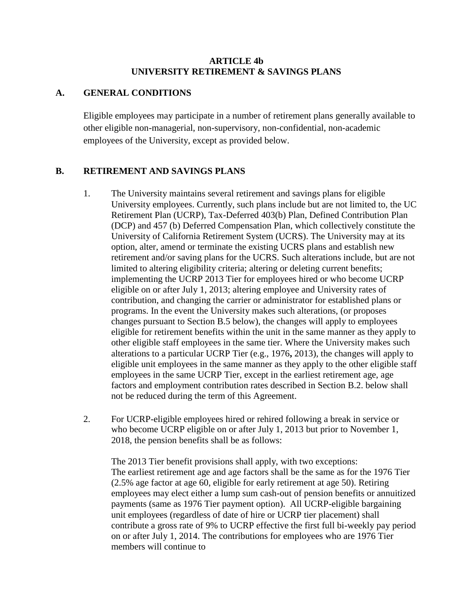### **ARTICLE 4b UNIVERSITY RETIREMENT & SAVINGS PLANS**

#### **A. GENERAL CONDITIONS**

Eligible employees may participate in a number of retirement plans generally available to other eligible non-managerial, non-supervisory, non-confidential, non-academic employees of the University, except as provided below.

## **B. RETIREMENT AND SAVINGS PLANS**

- 1. The University maintains several retirement and savings plans for eligible University employees. Currently, such plans include but are not limited to, the UC Retirement Plan (UCRP), Tax-Deferred 403(b) Plan, Defined Contribution Plan (DCP) and 457 (b) Deferred Compensation Plan, which collectively constitute the University of California Retirement System (UCRS). The University may at its option, alter, amend or terminate the existing UCRS plans and establish new retirement and/or saving plans for the UCRS. Such alterations include, but are not limited to altering eligibility criteria; altering or deleting current benefits; implementing the UCRP 2013 Tier for employees hired or who become UCRP eligible on or after July 1, 2013; altering employee and University rates of contribution, and changing the carrier or administrator for established plans or programs. In the event the University makes such alterations, (or proposes changes pursuant to Section B.5 below), the changes will apply to employees eligible for retirement benefits within the unit in the same manner as they apply to other eligible staff employees in the same tier. Where the University makes such alterations to a particular UCRP Tier (e.g., 1976**,** 2013), the changes will apply to eligible unit employees in the same manner as they apply to the other eligible staff employees in the same UCRP Tier, except in the earliest retirement age, age factors and employment contribution rates described in Section B.2. below shall not be reduced during the term of this Agreement.
- 2. For UCRP-eligible employees hired or rehired following a break in service or who become UCRP eligible on or after July 1, 2013 but prior to November 1, 2018, the pension benefits shall be as follows:

The 2013 Tier benefit provisions shall apply, with two exceptions: The earliest retirement age and age factors shall be the same as for the 1976 Tier (2.5% age factor at age 60, eligible for early retirement at age 50). Retiring employees may elect either a lump sum cash-out of pension benefits or annuitized payments (same as 1976 Tier payment option). All UCRP-eligible bargaining unit employees (regardless of date of hire or UCRP tier placement) shall contribute a gross rate of 9% to UCRP effective the first full bi-weekly pay period on or after July 1, 2014. The contributions for employees who are 1976 Tier members will continue to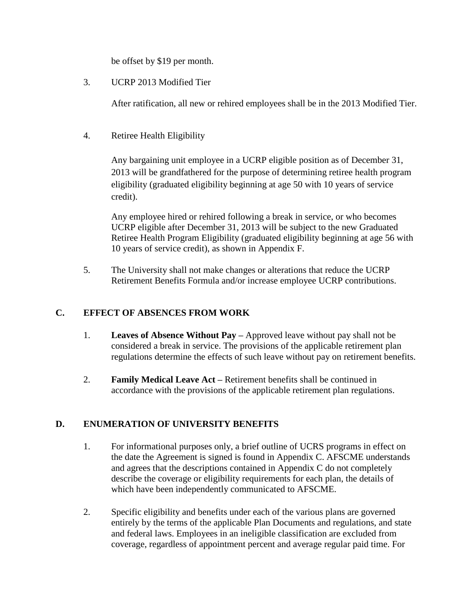be offset by \$19 per month.

3. UCRP 2013 Modified Tier

After ratification, all new or rehired employees shall be in the 2013 Modified Tier.

4. Retiree Health Eligibility

Any bargaining unit employee in a UCRP eligible position as of December 31, 2013 will be grandfathered for the purpose of determining retiree health program eligibility (graduated eligibility beginning at age 50 with 10 years of service credit).

Any employee hired or rehired following a break in service, or who becomes UCRP eligible after December 31, 2013 will be subject to the new Graduated Retiree Health Program Eligibility (graduated eligibility beginning at age 56 with 10 years of service credit), as shown in Appendix F.

5. The University shall not make changes or alterations that reduce the UCRP Retirement Benefits Formula and/or increase employee UCRP contributions.

## **C. EFFECT OF ABSENCES FROM WORK**

- 1. **Leaves of Absence Without Pay –** Approved leave without pay shall not be considered a break in service. The provisions of the applicable retirement plan regulations determine the effects of such leave without pay on retirement benefits.
- 2. **Family Medical Leave Act –** Retirement benefits shall be continued in accordance with the provisions of the applicable retirement plan regulations.

# **D. ENUMERATION OF UNIVERSITY BENEFITS**

- 1. For informational purposes only, a brief outline of UCRS programs in effect on the date the Agreement is signed is found in Appendix C. AFSCME understands and agrees that the descriptions contained in Appendix C do not completely describe the coverage or eligibility requirements for each plan, the details of which have been independently communicated to AFSCME.
- 2. Specific eligibility and benefits under each of the various plans are governed entirely by the terms of the applicable Plan Documents and regulations, and state and federal laws. Employees in an ineligible classification are excluded from coverage, regardless of appointment percent and average regular paid time. For